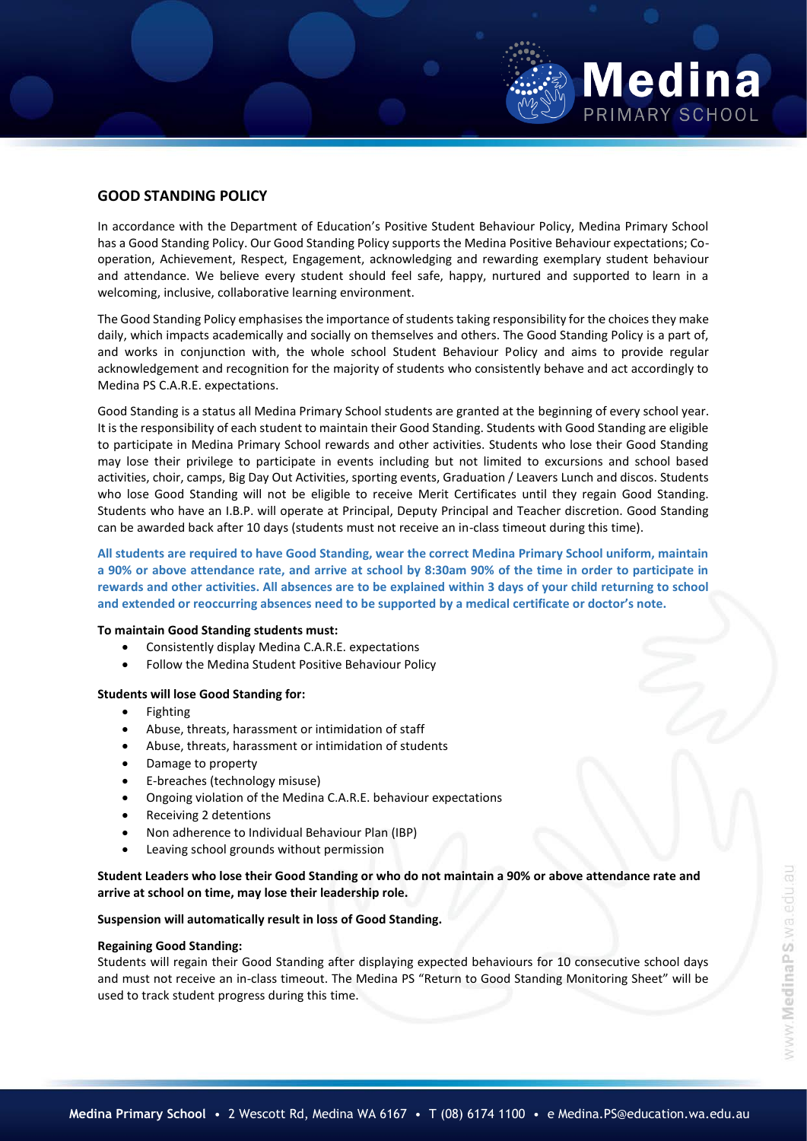# **GOOD STANDING POLICY**

In accordance with the Department of Education's Positive Student Behaviour Policy, Medina Primary School has a Good Standing Policy. Our Good Standing Policy supports the Medina Positive Behaviour expectations; Cooperation, Achievement, Respect, Engagement, acknowledging and rewarding exemplary student behaviour and attendance. We believe every student should feel safe, happy, nurtured and supported to learn in a welcoming, inclusive, collaborative learning environment.

The Good Standing Policy emphasises the importance of students taking responsibility for the choices they make daily, which impacts academically and socially on themselves and others. The Good Standing Policy is a part of, and works in conjunction with, the whole school Student Behaviour Policy and aims to provide regular acknowledgement and recognition for the majority of students who consistently behave and act accordingly to Medina PS C.A.R.E. expectations.

Good Standing is a status all Medina Primary School students are granted at the beginning of every school year. It is the responsibility of each student to maintain their Good Standing. Students with Good Standing are eligible to participate in Medina Primary School rewards and other activities. Students who lose their Good Standing may lose their privilege to participate in events including but not limited to excursions and school based activities, choir, camps, Big Day Out Activities, sporting events, Graduation / Leavers Lunch and discos. Students who lose Good Standing will not be eligible to receive Merit Certificates until they regain Good Standing. Students who have an I.B.P. will operate at Principal, Deputy Principal and Teacher discretion. Good Standing can be awarded back after 10 days (students must not receive an in-class timeout during this time).

**All students are required to have Good Standing, wear the correct Medina Primary School uniform, maintain a 90% or above attendance rate, and arrive at school by 8:30am 90% of the time in order to participate in rewards and other activities. All absences are to be explained within 3 days of your child returning to school and extended or reoccurring absences need to be supported by a medical certificate or doctor's note.**

# **To maintain Good Standing students must:**

- Consistently display Medina C.A.R.E. expectations
- Follow the Medina Student Positive Behaviour Policy

## **Students will lose Good Standing for:**

- Fighting
- Abuse, threats, harassment or intimidation of staff
- Abuse, threats, harassment or intimidation of students
- Damage to property
- E-breaches (technology misuse)
- Ongoing violation of the Medina C.A.R.E. behaviour expectations
- Receiving 2 detentions
- Non adherence to Individual Behaviour Plan (IBP)
- Leaving school grounds without permission

**Student Leaders who lose their Good Standing or who do not maintain a 90% or above attendance rate and arrive at school on time, may lose their leadership role.** 

# **Suspension will automatically result in loss of Good Standing.**

#### **Regaining Good Standing:**

Students will regain their Good Standing after displaying expected behaviours for 10 consecutive school days and must not receive an in-class timeout. The Medina PS "Return to Good Standing Monitoring Sheet" will be used to track student progress during this time.

**Medina** 

PRIMARY SCHOOL